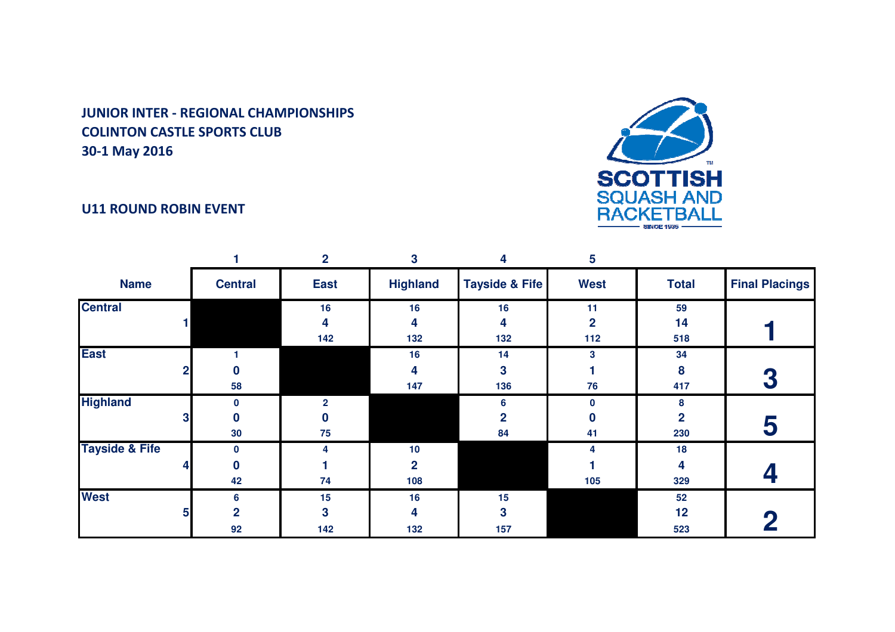## U11 ROUND ROBIN EVENT



|                           |   |                 | $\mathbf{2}$   | 3               | 4                         | 5              |              |                       |
|---------------------------|---|-----------------|----------------|-----------------|---------------------------|----------------|--------------|-----------------------|
| <b>Name</b>               |   | <b>Central</b>  | <b>East</b>    | <b>Highland</b> | <b>Tayside &amp; Fife</b> | <b>West</b>    | <b>Total</b> | <b>Final Placings</b> |
| <b>Central</b>            |   |                 | 16             | 16              | 16                        | 11             | 59           |                       |
|                           |   |                 | 4              | 4               | 4                         | $\overline{2}$ | 14           |                       |
|                           |   |                 | 142            | 132             | 132                       | 112            | 518          |                       |
| <b>East</b>               |   |                 |                | 16              | 14                        | 3              | 34           |                       |
|                           |   | n               |                | 4               | 3                         |                | 8            |                       |
|                           |   | 58              |                | 147             | 136                       | 76             | 417          | 3                     |
| <b>Highland</b>           |   | $\mathbf{0}$    | $\mathfrak{p}$ |                 | 6                         | 0              | 8            |                       |
|                           | 3 |                 |                |                 | 2                         | 0              | 2            |                       |
|                           |   | 30 <sub>o</sub> | 75             |                 | 84                        | 41             | 230          | 5                     |
| <b>Tayside &amp; Fife</b> |   | $\mathbf 0$     |                | 10              |                           | 4              | 18           |                       |
|                           |   | U               |                | $\overline{2}$  |                           |                | 4            |                       |
|                           |   | 42              | 74             | 108             |                           | 105            | 329          |                       |
| <b>West</b>               |   | 6               | 15             | 16              | 15                        |                | 52           |                       |
|                           | 5 | $\overline{2}$  | 3              | 4               | 3                         |                | 12           |                       |
|                           |   | 92              | 142            | 132             | 157                       |                | 523          |                       |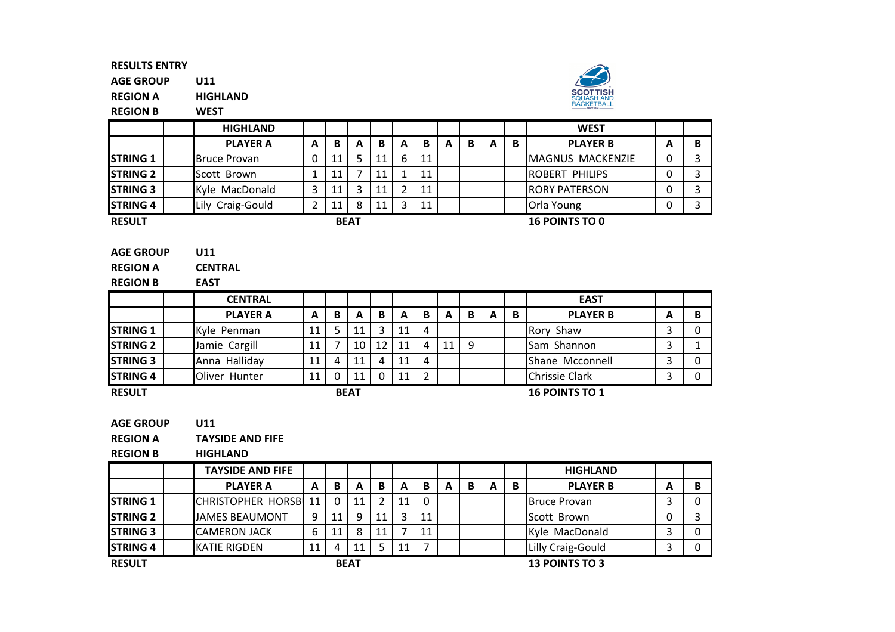AGE GROUPU11

REGION AHIGHLAND



REGION BWEST

|                  | <b>HIGHLAND</b>  |   |    |             |    |   |    |   |   |   |   | <b>WEST</b>             |   |   |
|------------------|------------------|---|----|-------------|----|---|----|---|---|---|---|-------------------------|---|---|
|                  | <b>PLAYER A</b>  | A | B  | A           | B  | A | В  | A | B | A | B | <b>PLAYER B</b>         | А | в |
| <b>ISTRING 1</b> | Bruce Provan     |   | 11 | 5.          | 11 | 6 | 11 |   |   |   |   | <b>MAGNUS MACKENZIE</b> | 0 |   |
| <b>STRING 2</b>  | Scott Brown      |   | 11 |             | 11 |   | 11 |   |   |   |   | <b>ROBERT PHILIPS</b>   |   |   |
| <b>STRING 3</b>  | Kyle MacDonald   |   | 11 | 3           | 11 |   | 11 |   |   |   |   | <b>RORY PATERSON</b>    |   |   |
| <b>STRING 4</b>  | Lily Craig-Gould |   | 11 | 8           | 11 | 3 | 11 |   |   |   |   | Orla Young              |   |   |
| <b>RESULT</b>    |                  |   |    | <b>BEAT</b> |    |   |    |   |   |   |   | <b>16 POINTS TO 0</b>   |   |   |
|                  | . <b>.</b>       |   |    |             |    |   |    |   |   |   |   |                         |   |   |

| <b>AGE GROUP</b><br>U11 |  |
|-------------------------|--|
|-------------------------|--|

REGION ACENTRAL

| <b>REGION B</b>  | <b>EAST</b>     |    |   |             |    |    |   |    |   |   |   |                       |   |   |
|------------------|-----------------|----|---|-------------|----|----|---|----|---|---|---|-----------------------|---|---|
|                  | <b>CENTRAL</b>  |    |   |             |    |    |   |    |   |   |   | <b>EAST</b>           |   |   |
|                  | <b>PLAYER A</b> | A  | B | А           | B  | A  | B | A  | B | A | B | <b>PLAYER B</b>       | А | B |
| <b>ISTRING 1</b> | Kyle Penman     | 11 | 5 | 11          | 3  | 11 | 4 |    |   |   |   | Rory Shaw             |   |   |
| <b>STRING 2</b>  | Jamie Cargill   | 11 |   | 10          | 12 | 11 | 4 | 11 | q |   |   | Sam Shannon           |   |   |
| <b>STRING 3</b>  | Anna Halliday   | 11 | 4 | 11          | 4  | 11 | 4 |    |   |   |   | Shane Mcconnell       |   |   |
| <b>STRING 4</b>  | Oliver Hunter   | 11 | 0 | 11          |    | 11 |   |    |   |   |   | <b>Chrissie Clark</b> |   |   |
| <b>RESULT</b>    |                 |    |   | <b>BEAT</b> |    |    |   |    |   |   |   | <b>16 POINTS TO 1</b> |   |   |

RESULT

AGE GROUPU11

REGION ATAYSIDE AND FIFE

REGION BHIGHLAND

|                 | <b>TAYSIDE AND FIFE</b>      |    |              |             |    |    |    |   |   |   |   | <b>HIGHLAND</b>       |   |  |
|-----------------|------------------------------|----|--------------|-------------|----|----|----|---|---|---|---|-----------------------|---|--|
|                 | <b>PLAYER A</b>              | A  | B            | A           | B  | A  | B  | A | В | A | B | <b>PLAYER B</b>       | А |  |
| <b>STRING 1</b> | <b>CHRISTOPHER HORSBI 11</b> |    | $\mathbf{0}$ | 11          | າ  | 11 | 0  |   |   |   |   | <b>Bruce Provan</b>   |   |  |
| <b>STRING 2</b> | <b>JAMES BEAUMONT</b>        | q  | 11           | q           | 11 |    | 11 |   |   |   |   | Scott Brown           |   |  |
| <b>STRING 3</b> | <b>ICAMERON JACK</b>         | 6  | 11           | 8           | 11 |    | 11 |   |   |   |   | Kyle MacDonald        |   |  |
| <b>STRING 4</b> | <b>IKATIE RIGDEN</b>         | 11 | 4            | 11          |    | 11 |    |   |   |   |   | Lilly Craig-Gould     |   |  |
| <b>RESULT</b>   |                              |    |              | <b>BEAT</b> |    |    |    |   |   |   |   | <b>13 POINTS TO 3</b> |   |  |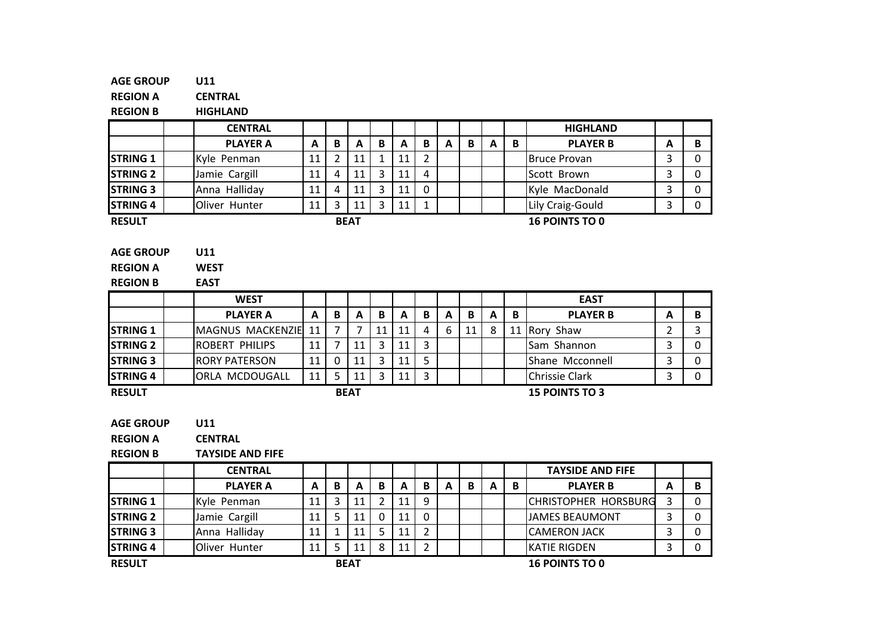| <b>AGE GROUP</b> | U11                     |    |                |             |                |    |                |   |    |                           |   |                         |                |                |
|------------------|-------------------------|----|----------------|-------------|----------------|----|----------------|---|----|---------------------------|---|-------------------------|----------------|----------------|
| <b>REGION A</b>  | <b>CENTRAL</b>          |    |                |             |                |    |                |   |    |                           |   |                         |                |                |
| <b>REGION B</b>  | <b>HIGHLAND</b>         |    |                |             |                |    |                |   |    |                           |   |                         |                |                |
|                  | <b>CENTRAL</b>          |    |                |             |                |    |                |   |    |                           |   | <b>HIGHLAND</b>         |                |                |
|                  | <b>PLAYER A</b>         | A  | B              | A           | B              | A  | $\mathbf B$    | A | B  | $\boldsymbol{\mathsf{A}}$ | B | <b>PLAYER B</b>         | A              | B              |
| <b>STRING 1</b>  | Kyle Penman             | 11 | 2              | 11          | $\mathbf{1}$   | 11 | $\overline{2}$ |   |    |                           |   | <b>Bruce Provan</b>     | 3              | $\Omega$       |
| <b>STRING 2</b>  | Jamie Cargill           | 11 | 4              | 11          | $\overline{3}$ | 11 | 4              |   |    |                           |   | Scott Brown             | 3              | $\mathbf 0$    |
| <b>STRING 3</b>  | Anna Halliday           | 11 | 4              | 11          | 3              | 11 | 0              |   |    |                           |   | Kyle MacDonald          | 3              | $\mathbf{0}$   |
| <b>STRING 4</b>  | Oliver Hunter           | 11 | $\overline{3}$ | 11          | $\overline{3}$ | 11 | $\mathbf{1}$   |   |    |                           |   | Lily Craig-Gould        | 3              | $\mathbf 0$    |
| <b>RESULT</b>    |                         |    |                | <b>BEAT</b> |                |    |                |   |    |                           |   | <b>16 POINTS TO 0</b>   |                |                |
|                  |                         |    |                |             |                |    |                |   |    |                           |   |                         |                |                |
| <b>AGE GROUP</b> | U11                     |    |                |             |                |    |                |   |    |                           |   |                         |                |                |
| <b>REGION A</b>  | <b>WEST</b>             |    |                |             |                |    |                |   |    |                           |   |                         |                |                |
| <b>REGION B</b>  | <b>EAST</b>             |    |                |             |                |    |                |   |    |                           |   |                         |                |                |
|                  | <b>WEST</b>             |    |                |             |                |    |                |   |    |                           |   | <b>EAST</b>             |                |                |
|                  | <b>PLAYER A</b>         | A  | B              | A           | B              | A  | B              | A | B  | $\mathbf{A}$              | B | <b>PLAYER B</b>         | A              | B              |
| <b>STRING 1</b>  | MAGNUS MACKENZIE        | 11 | $\overline{7}$ | 7           | 11             | 11 | 4              | 6 | 11 | 8                         |   | 11 Rory Shaw            | $\overline{2}$ | $\overline{3}$ |
| <b>STRING 2</b>  | ROBERT PHILIPS          | 11 | $\overline{7}$ | 11          | 3              | 11 | 3              |   |    |                           |   | Sam Shannon             | 3              | $\mathbf{0}$   |
| <b>STRING 3</b>  | <b>RORY PATERSON</b>    | 11 | $\mathbf 0$    | 11          | 3              | 11 | 5              |   |    |                           |   | Shane Mcconnell         | 3              | $\mathbf 0$    |
| <b>STRING 4</b>  | ORLA MCDOUGALL          | 11 | 5              | 11          | 3              | 11 | 3              |   |    |                           |   | Chrissie Clark          | 3              | $\mathbf 0$    |
| <b>RESULT</b>    |                         |    |                | <b>BEAT</b> |                |    |                |   |    |                           |   | <b>15 POINTS TO 3</b>   |                |                |
|                  |                         |    |                |             |                |    |                |   |    |                           |   |                         |                |                |
| <b>AGE GROUP</b> | U11                     |    |                |             |                |    |                |   |    |                           |   |                         |                |                |
| <b>REGION A</b>  | <b>CENTRAL</b>          |    |                |             |                |    |                |   |    |                           |   |                         |                |                |
| <b>REGION B</b>  | <b>TAYSIDE AND FIFE</b> |    |                |             |                |    |                |   |    |                           |   |                         |                |                |
|                  | <b>CENTRAI</b>          |    |                |             |                |    |                |   |    |                           |   | <b>TAVSIDE AND FIFF</b> |                |                |

|                  | <b>CENTRAL</b>  |    |   |             |   |    |   |   |   |   |   | <b>TAYSIDE AND FIFE</b>     |   |  |
|------------------|-----------------|----|---|-------------|---|----|---|---|---|---|---|-----------------------------|---|--|
|                  | <b>PLAYER A</b> | A  | B | А           | B | A  | B | A | В | A | В | <b>PLAYER B</b>             | А |  |
| <b>STRING 1</b>  | Kyle Penman     |    |   | 11          |   | 11 | 9 |   |   |   |   | <b>CHRISTOPHER HORSBURG</b> |   |  |
| <b>STRING 2</b>  | Jamie Cargill   | 11 |   | 11          | 0 | 11 | 0 |   |   |   |   | <b>JAMES BEAUMONT</b>       |   |  |
| <b>ISTRING 3</b> | Anna Halliday   | 11 |   | 11          |   | 11 |   |   |   |   |   | <b>CAMERON JACK</b>         |   |  |
| <b>STRING 4</b>  | Oliver Hunter   | 11 |   |             | 8 | 11 |   |   |   |   |   | <b>IKATIE RIGDEN</b>        |   |  |
| <b>RESULT</b>    |                 |    |   | <b>BEAT</b> |   |    |   |   |   |   |   | <b>16 POINTS TO 0</b>       |   |  |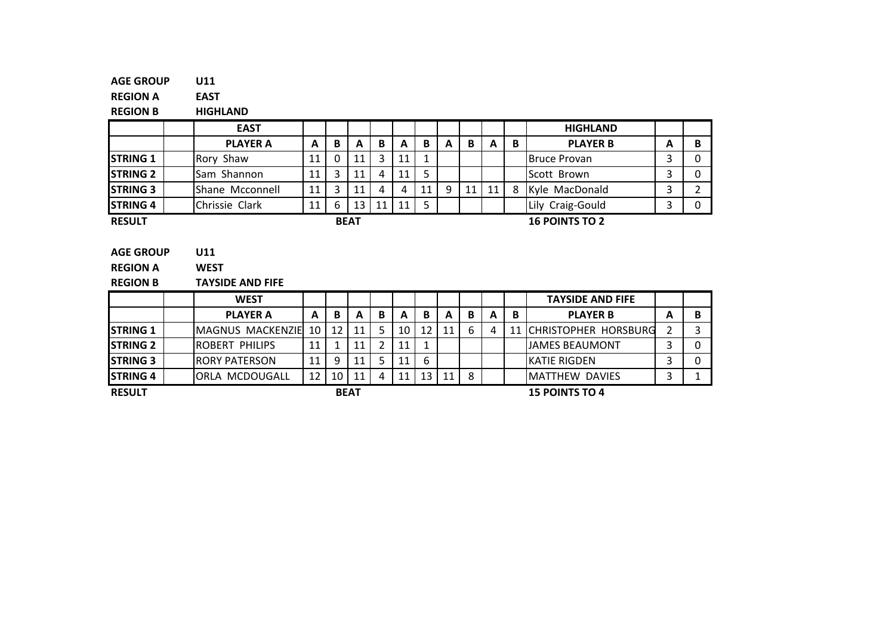#### AGE GROUPU11

REGION AEAST

REGION BHIGHLAND

|                 | <b>EAST</b>     |    |   |             |    |    |    |   |    |    |   | <b>HIGHLAND</b>       |   |   |
|-----------------|-----------------|----|---|-------------|----|----|----|---|----|----|---|-----------------------|---|---|
|                 | <b>PLAYER A</b> | A  | В | A           | в  | А  | в  | А | B  | А  | B | <b>PLAYER B</b>       | А | B |
| <b>STRING 1</b> | Rory Shaw       | 11 |   | 11          |    | 11 |    |   |    |    |   | <b>Bruce Provan</b>   |   | 0 |
| <b>STRING 2</b> | Sam Shannon     |    |   | 11          | Δ  | 11 |    |   |    |    |   | Scott Brown           |   | 0 |
| <b>STRING 3</b> | Shane Mcconnell | 11 |   | 11          |    | 4  | 11 | 9 | 11 | 11 |   | Kyle MacDonald        |   | ┑ |
| <b>STRING 4</b> | Chrissie Clark  | 11 | 6 | 13          | 11 | 11 |    |   |    |    |   | Lily Craig-Gould      |   | 0 |
| <b>RESULT</b>   |                 |    |   | <b>BEAT</b> |    |    |    |   |    |    |   | <b>16 POINTS TO 2</b> |   |   |

|  | <b>AGE GROUP</b> | <b>U11</b> |
|--|------------------|------------|
|--|------------------|------------|

REGION AWEST

REGION BTAYSIDE AND FIFE

|                  | <b>WEST</b>            |    |    |             |   |    |    |    |   |   |    | <b>TAYSIDE AND FIFE</b>     |   |  |
|------------------|------------------------|----|----|-------------|---|----|----|----|---|---|----|-----------------------------|---|--|
|                  | <b>PLAYER A</b>        | A  | В  | А           | В | A  | В  | A  | в | A | В  | <b>PLAYER B</b>             | А |  |
| <b>ISTRING 1</b> | MAGNUS MACKENZIE 10    |    | 12 |             |   | 10 | 12 | 11 | 6 | 4 | 11 | <b>CHRISTOPHER HORSBURG</b> |   |  |
| <b>ISTRING 2</b> | <b>IROBERT PHILIPS</b> | 11 |    |             |   | 11 |    |    |   |   |    | <b>JIAMES BEAUMONT</b>      |   |  |
| <b>ISTRING 3</b> | <b>IRORY PATERSON</b>  | 11 | 9  |             |   | 11 | 6  |    |   |   |    | <b>IKATIE RIGDEN</b>        |   |  |
| <b>STRING 4</b>  | IORLA MCDOUGALL        | 12 | 10 | 11          | 4 |    | 13 | 11 | 8 |   |    | <b>IMATTHEW DAVIES</b>      |   |  |
| <b>RESULT</b>    |                        |    |    | <b>BEAT</b> |   |    |    |    |   |   |    | <b>15 POINTS TO 4</b>       |   |  |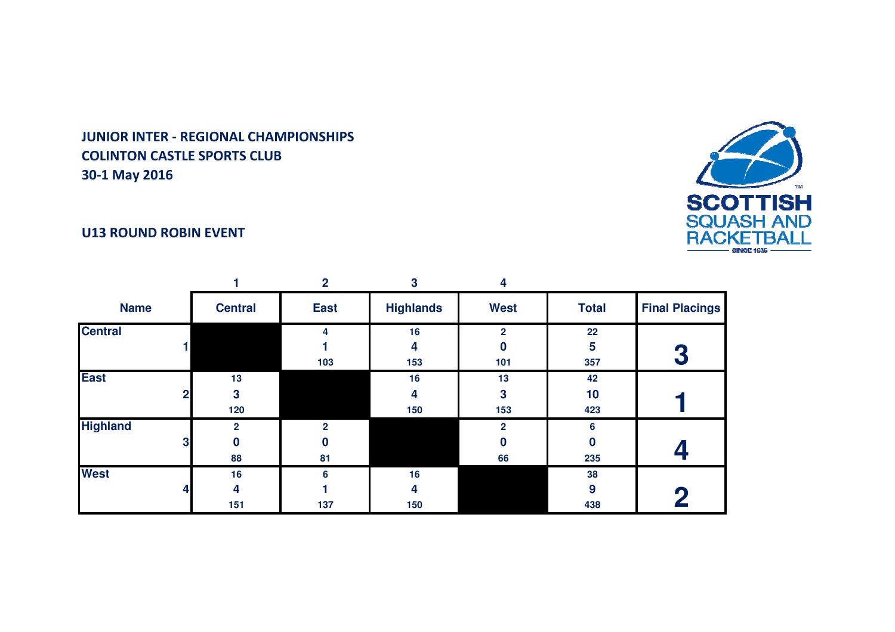

## U13 ROUND ROBIN EVENT

|                                   |                           | $\overline{2}$            | 3                | 4                        |                 |                       |
|-----------------------------------|---------------------------|---------------------------|------------------|--------------------------|-----------------|-----------------------|
| <b>Name</b>                       | <b>Central</b>            | <b>East</b>               | <b>Highlands</b> | <b>West</b>              | <b>Total</b>    | <b>Final Placings</b> |
| <b>Central</b>                    |                           | 4<br>103                  | 16<br>4<br>153   | $\mathbf{2}$<br>Ω<br>101 | 22<br>5<br>357  |                       |
| <b>East</b><br>2 <sub>l</sub>     | 13<br>3<br>120            |                           | 16<br>4<br>150   | 13<br>3<br>153           | 42<br>10<br>423 |                       |
| <b>Highland</b><br>$\mathbf{3}$   | $\overline{2}$<br>0<br>88 | $\overline{2}$<br>0<br>81 |                  | $\mathbf{2}$<br>0<br>66  | 6<br>0<br>235   |                       |
| <b>West</b><br>$\overline{\bf 4}$ | 16<br>4<br>151            | 6<br>137                  | 16<br>4<br>150   |                          | 38<br>9<br>438  |                       |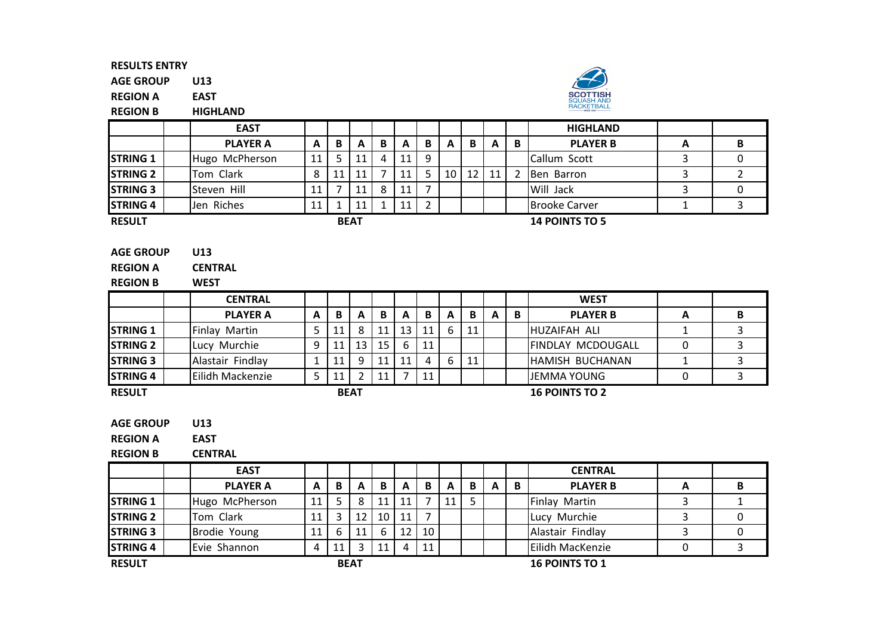AGE GROUPU13

REGION AEAST

REGION BHIGHLAND



|                 | <b>EAST</b>     |    |    |             |   |    |   |    |    |   |   | <b>HIGHLAND</b>       |   |  |
|-----------------|-----------------|----|----|-------------|---|----|---|----|----|---|---|-----------------------|---|--|
|                 | <b>PLAYER A</b> | A  | B  | A           | В | A  | B | A  | B  | A | B | <b>PLAYER B</b>       | A |  |
| <b>STRING 1</b> | Hugo McPherson  | 11 |    | 11          | 4 | 11 | 9 |    |    |   |   | Callum Scott          |   |  |
| <b>STRING 2</b> | Tom Clark       | 8  | 11 | 11          |   |    |   | 10 | 12 |   |   | Ben Barron            |   |  |
| <b>STRING 3</b> | Steven Hill     |    |    | 11          | 8 | 11 | – |    |    |   |   | Will Jack             |   |  |
| <b>STRING 4</b> | Jen Riches      | 11 |    | 11          |   | 11 |   |    |    |   |   | <b>Brooke Carver</b>  |   |  |
| <b>RESULT</b>   |                 |    |    | <b>BEAT</b> |   |    |   |    |    |   |   | <b>14 POINTS TO 5</b> |   |  |

| <b>AGE GROUP</b> | U13 |
|------------------|-----|
|                  |     |

| <b>REGION A</b> | <b>CENTRAL</b> |
|-----------------|----------------|
|                 |                |
|                 |                |

| <b>REGION B</b> | <b>WEST</b>      |   |    |             |    |    |    |   |    |   |   |                          |   |   |
|-----------------|------------------|---|----|-------------|----|----|----|---|----|---|---|--------------------------|---|---|
|                 | <b>CENTRAL</b>   |   |    |             |    |    |    |   |    |   |   | <b>WEST</b>              |   |   |
|                 | <b>PLAYER A</b>  | A | В  | A           | B  | А  | B  | A | B  | А | B | <b>PLAYER B</b>          | A | в |
| <b>STRING 1</b> | Finlay Martin    |   | 11 | 8           | 11 | 13 | 11 | 6 | 11 |   |   | <b>HUZAIFAH ALI</b>      |   |   |
| <b>STRING 2</b> | Lucy Murchie     | 9 | 11 | 13          | 15 | 6  | 11 |   |    |   |   | <b>FINDLAY MCDOUGALL</b> |   |   |
| <b>STRING 3</b> | Alastair Findlay |   | 11 | 9           | 11 | 11 | 4  | 6 | 11 |   |   | <b>HAMISH BUCHANAN</b>   |   |   |
| <b>STRING 4</b> | Eilidh Mackenzie |   | 11 |             | 11 |    | 11 |   |    |   |   | JEMMA YOUNG              |   |   |
| <b>RESULT</b>   |                  |   |    | <b>BEAT</b> |    |    |    |   |    |   |   | <b>16 POINTS TO 2</b>    |   |   |

| <b>AGE GROUP</b> | U13 |
|------------------|-----|
|                  |     |

REGION AEAST

REGION BCENTRAL

|                 | <b>EAST</b>     |    |    |             |                 |                 |    |    |   |   |   | <b>CENTRAL</b>        |   |   |
|-----------------|-----------------|----|----|-------------|-----------------|-----------------|----|----|---|---|---|-----------------------|---|---|
|                 | <b>PLAYER A</b> | A  | B  | A           | B               | A               | B  | A  | B | A | B | <b>PLAYER B</b>       | A | В |
| <b>STRING 1</b> | Hugo McPherson  | 11 |    |             | 11              | 11              |    | 11 |   |   |   | Finlay Martin         |   |   |
| <b>STRING 2</b> | Tom Clark       | 11 |    | 12          | 10 <sup>1</sup> | 11 <sup>1</sup> |    |    |   |   |   | Lucy Murchie          |   | 0 |
| <b>STRING 3</b> | Brodie Young    | 11 | 6  | 11          | 6               | 12 <sub>1</sub> | 10 |    |   |   |   | Alastair Findlay      |   | 0 |
| <b>STRING 4</b> | Evie Shannon    | 4  | 11 |             | 11              | 4               | 11 |    |   |   |   | Eilidh MacKenzie      |   |   |
| <b>RESULT</b>   |                 |    |    | <b>BEAT</b> |                 |                 |    |    |   |   |   | <b>16 POINTS TO 1</b> |   |   |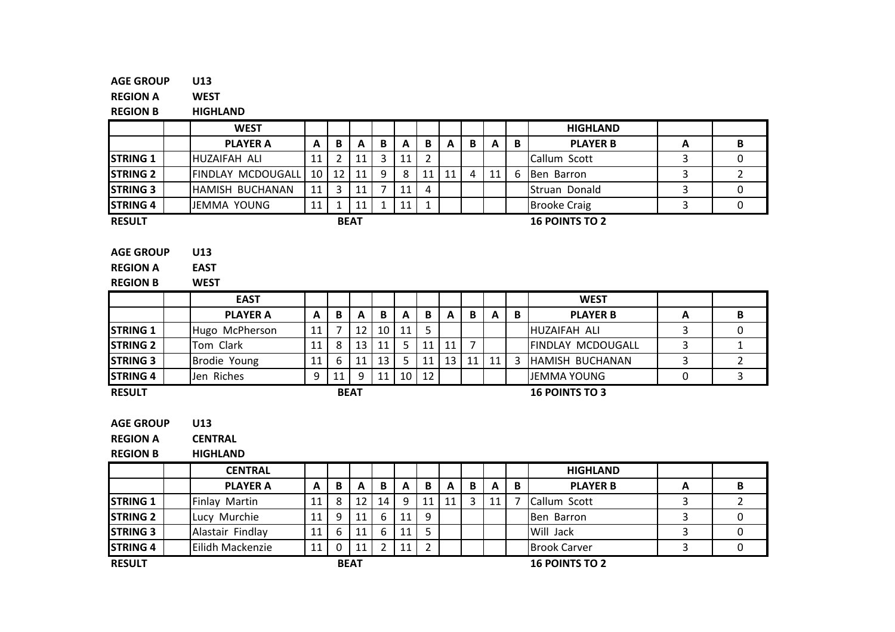#### AGE GROUPU13

REGION A**WEST** 

REGION BHIGHLAND

|                                                        | <b>WEST</b>                       |    |                |             |              |                 |                |    |                |    |   | <b>HIGHLAND</b>          |   |                |
|--------------------------------------------------------|-----------------------------------|----|----------------|-------------|--------------|-----------------|----------------|----|----------------|----|---|--------------------------|---|----------------|
|                                                        | <b>PLAYER A</b>                   | A  | B              | A           | B            | A               | B              | A  | B              | A  | B | <b>PLAYER B</b>          | A | B              |
| <b>STRING 1</b>                                        | HUZAIFAH ALI                      | 11 | $\overline{2}$ | 11          | 3            | 11              | $\overline{2}$ |    |                |    |   | Callum Scott             | 3 | $\mathbf 0$    |
| <b>STRING 2</b>                                        | FINDLAY MCDOUGALL                 | 10 | 12             | 11          | 9            | 8               | 11             | 11 | 4              | 11 | 6 | Ben Barron               | 3 | $\overline{2}$ |
| <b>STRING 3</b>                                        | HAMISH BUCHANAN                   | 11 | 3              | 11          | 7            | 11              | 4              |    |                |    |   | Struan Donald            | 3 | $\mathbf 0$    |
| <b>STRING 4</b>                                        | <b>JEMMA YOUNG</b>                | 11 | 1              | 11          | $\mathbf{1}$ | 11              | $\mathbf{1}$   |    |                |    |   | <b>Brooke Craig</b>      | 3 | $\mathbf 0$    |
| <b>RESULT</b>                                          |                                   |    |                | <b>BEAT</b> |              |                 |                |    |                |    |   | <b>16 POINTS TO 2</b>    |   |                |
| <b>AGE GROUP</b><br><b>REGION A</b><br><b>REGION B</b> | U13<br><b>EAST</b><br><b>WEST</b> |    |                |             |              |                 |                |    |                |    |   |                          |   |                |
|                                                        | <b>EAST</b>                       |    |                |             |              |                 |                |    |                |    |   | <b>WEST</b>              |   |                |
|                                                        | <b>PLAYER A</b>                   | A  | B              | A           | B            | A               | B              | A  | B              | A  | B | <b>PLAYER B</b>          | A | B              |
| <b>STRING 1</b>                                        | Hugo McPherson                    | 11 | 7              | 12          | 10           | 11              | 5              |    |                |    |   | HUZAIFAH ALI             | 3 | $\mathbf 0$    |
| <b>STRING 2</b>                                        | Tom Clark                         | 11 | 8              | 13          | 11           | 5               | 11             | 11 | $\overline{7}$ |    |   | <b>FINDLAY MCDOUGALL</b> | 3 | $\mathbf{1}$   |
| <b>STRING 3</b>                                        | Brodie Young                      | 11 | 6              | 11          | 13           | 5.              | 11             | 13 | 11             | 11 | 3 | HAMISH BUCHANAN          | 3 | $\overline{2}$ |
| <b>STRING 4</b>                                        | Jen Riches                        | 9  | 11             | 9           | 11           | 10 <sup>1</sup> | 12             |    |                |    |   | <b>JEMMA YOUNG</b>       | 0 | $\mathbf{3}$   |
| <b>RESULT</b>                                          |                                   |    |                | <b>BEAT</b> |              |                 |                |    |                |    |   | <b>16 POINTS TO 3</b>    |   |                |
|                                                        |                                   |    |                |             |              |                 |                |    |                |    |   |                          |   |                |
| <b>AGE GROUP</b>                                       | U13                               |    |                |             |              |                 |                |    |                |    |   |                          |   |                |
| <b>REGION A</b>                                        | <b>CENTRAL</b>                    |    |                |             |              |                 |                |    |                |    |   |                          |   |                |

REGION BHIGHLAND

|                 | <b>CENTRAL</b>   |    |          |             |    |    |    |    |   |    |   | <b>HIGHLAND</b>       |   |   |
|-----------------|------------------|----|----------|-------------|----|----|----|----|---|----|---|-----------------------|---|---|
|                 | <b>PLAYER A</b>  | A  | B        | A           | В  | A  | В  | A  | B | A  | B | <b>PLAYER B</b>       | A | В |
| <b>STRING 1</b> | Finlay Martin    |    | 8        | 12          | 14 | Q  | 11 | 11 |   | 11 |   | Callum Scott          |   |   |
| <b>STRING 2</b> | Lucy Murchie     | 11 | 9        | 11          | 6  | 11 | 9  |    |   |    |   | <b>Ben Barron</b>     |   | 0 |
| <b>STRING 3</b> | Alastair Findlay |    | 6        | 11          | 6  |    | 5  |    |   |    |   | Will Jack             |   |   |
| <b>STRING 4</b> | Eilidh Mackenzie | 11 | $\Omega$ | 11          |    |    | C  |    |   |    |   | <b>Brook Carver</b>   |   | 0 |
| <b>RESULT</b>   |                  |    |          | <b>BEAT</b> |    |    |    |    |   |    |   | <b>16 POINTS TO 2</b> |   |   |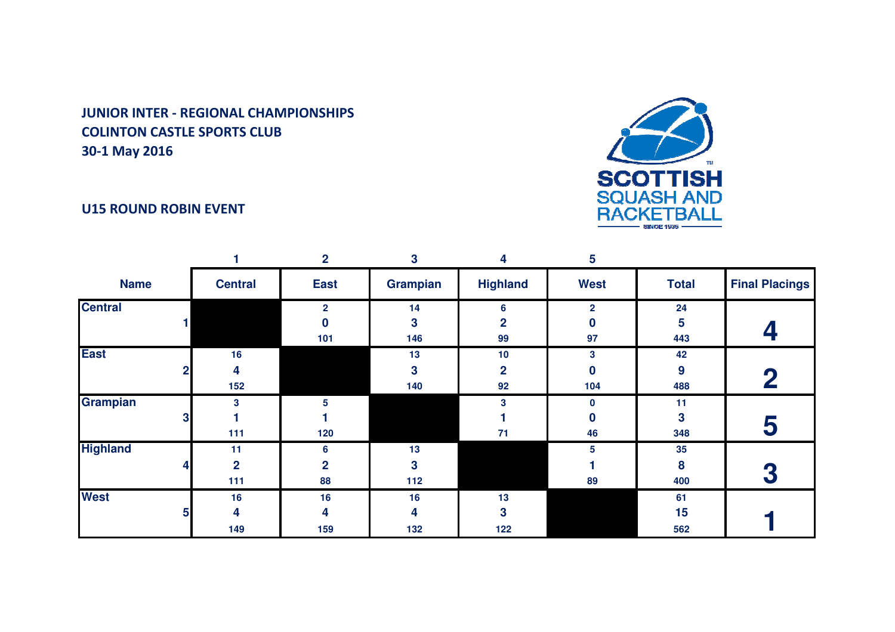## U15 ROUND ROBIN EVENT



|                 |   |                | $\mathbf{2}$   | 3                       | 4               | 5              |              |                       |
|-----------------|---|----------------|----------------|-------------------------|-----------------|----------------|--------------|-----------------------|
| <b>Name</b>     |   | <b>Central</b> | <b>East</b>    | Grampian                | <b>Highland</b> | <b>West</b>    | <b>Total</b> | <b>Final Placings</b> |
| <b>Central</b>  |   |                | $\overline{2}$ | 14                      | 6               | $\overline{2}$ | 24           |                       |
|                 |   |                | 0              | 3                       | 2               | 0              | 5            |                       |
|                 |   |                | 101            | 146                     | 99              | 97             | 443          |                       |
| <b>East</b>     |   | 16             |                | 13                      | 10              | 3              | 42           |                       |
|                 | 2 | 4              |                | 3                       | $\mathbf{2}$    | 0              | 9            | $\bf{2}$              |
|                 |   | 152            |                | 140                     | 92              | 104            | 488          |                       |
| <b>Grampian</b> |   | 3              | 5              |                         | 3               | 0              | 11           |                       |
|                 | 3 |                |                |                         |                 | 0              | 3            | 5                     |
|                 |   | 111            | 120            |                         | 71              | 46             | 348          |                       |
| <b>Highland</b> |   | 11             | 6              | 13                      |                 | 5              | 35           |                       |
|                 |   | $\overline{2}$ | $\overline{2}$ | $\overline{\mathbf{3}}$ |                 |                | 8            | 3                     |
|                 |   | 111            | 88             | 112                     |                 | 89             | 400          |                       |
| <b>West</b>     |   | 16             | 16             | 16                      | 13              |                | 61           |                       |
|                 | 5 | 4              | 4              | 4                       | 3               |                | 15           |                       |
|                 |   | 149            | 159            | 132                     | 122             |                | 562          |                       |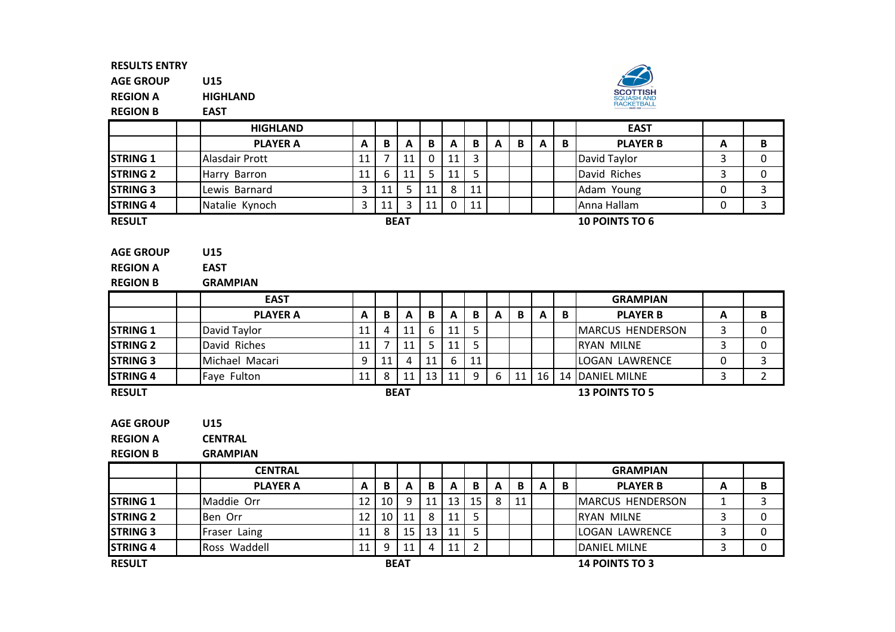AGE GROUPU15

REGION AHIGHLAND

EAST

REGION B



|                                                        | <b>HIGHLAND</b>                       |    |                |             |    |              |    |              |    |              |   | <b>EAST</b>           |          |             |
|--------------------------------------------------------|---------------------------------------|----|----------------|-------------|----|--------------|----|--------------|----|--------------|---|-----------------------|----------|-------------|
|                                                        | <b>PLAYER A</b>                       | A  | B              | A           | B  | A            | B  | $\mathbf{A}$ | B  | $\mathbf{A}$ | B | <b>PLAYER B</b>       | A        | B           |
| <b>STRING 1</b>                                        | Alasdair Prott                        | 11 | 7              | 11          | 0  | 11           | 3  |              |    |              |   | David Taylor          | 3        | 0           |
| <b>STRING 2</b>                                        | Harry Barron                          | 11 | 6              | 11          | 5. | 11           | 5  |              |    |              |   | David Riches          | 3        | 0           |
| <b>STRING 3</b>                                        | Lewis Barnard                         | 3  | 11             | 5           | 11 | 8            | 11 |              |    |              |   | Adam Young            | $\Omega$ | 3           |
| <b>STRING 4</b>                                        | Natalie Kynoch                        | 3  | 11             | 3           | 11 | $\mathbf 0$  | 11 |              |    |              |   | Anna Hallam           | 0        | 3           |
| <b>RESULT</b>                                          |                                       |    |                | <b>BEAT</b> |    |              |    |              |    |              |   | <b>10 POINTS TO 6</b> |          |             |
| <b>AGE GROUP</b><br><b>REGION A</b><br><b>REGION B</b> | U15<br><b>EAST</b><br><b>GRAMPIAN</b> |    |                |             |    |              |    |              |    |              |   |                       |          |             |
|                                                        | <b>EAST</b>                           |    |                |             |    |              |    |              |    |              |   | <b>GRAMPIAN</b>       |          |             |
|                                                        | <b>PLAYER A</b>                       | A  | B              | A           | B  | $\mathbf{A}$ | B  | $\mathbf{A}$ | B  | $\mathbf{A}$ | B | <b>PLAYER B</b>       | A        | B           |
| <b>STRING 1</b>                                        | David Taylor                          | 11 | 4              | 11          | 6  | 11           | 5  |              |    |              |   | MARCUS HENDERSON      | 3        | 0           |
| <b>STRING 2</b>                                        | David Riches                          | 11 | $\overline{7}$ | 11          | 5. | 11           | 5  |              |    |              |   | <b>RYAN MILNE</b>     | 3        | 0           |
| <b>STRING 3</b>                                        | Michael Macari                        | 9  | 11             | 4           | 11 | 6            | 11 |              |    |              |   | <b>LOGAN LAWRENCE</b> | 0        | 3           |
| <b>STRING 4</b>                                        | Faye Fulton                           | 11 | 8              | 11          | 13 | 11           | 9  | 6            | 11 | 16           |   | 14 DANIEL MILNE       | 3        | $2^{\circ}$ |
| <b>RESULT</b>                                          |                                       |    |                | <b>BEAT</b> |    |              |    |              |    |              |   | <b>13 POINTS TO 5</b> |          |             |
|                                                        |                                       |    |                |             |    |              |    |              |    |              |   |                       |          |             |

AGE GROUPU15

REGION ACENTRAL

REGION BGRAMPIAN

|                 | <b>CENTRAL</b>  |    |    |             |    |    |    |   |    |   |   | <b>GRAMPIAN</b>          |   |   |
|-----------------|-----------------|----|----|-------------|----|----|----|---|----|---|---|--------------------------|---|---|
|                 | <b>PLAYER A</b> | A  | в  | A           | B  | A  | B  | A | B  | A | B | <b>PLAYER B</b>          | Α | В |
| <b>STRING 1</b> | Maddie Orr      | 12 | 10 | q           | 11 | 13 | 15 | 8 | 11 |   |   | <b>IMARCUS HENDERSON</b> |   |   |
| <b>STRING 2</b> | Ben Orr         | 12 | 10 | 11          | 8  | 11 |    |   |    |   |   | <b>RYAN MILNE</b>        |   |   |
| <b>STRING 3</b> | Fraser Laing    | 11 |    | 15          | 13 | 11 |    |   |    |   |   | LOGAN LAWRENCE           |   |   |
| <b>STRING 4</b> | Ross Waddell    | 11 |    |             | 4  | 11 |    |   |    |   |   | <b>IDANIEL MILNE</b>     |   |   |
| <b>RESULT</b>   |                 |    |    | <b>BEAT</b> |    |    |    |   |    |   |   | <b>14 POINTS TO 3</b>    |   |   |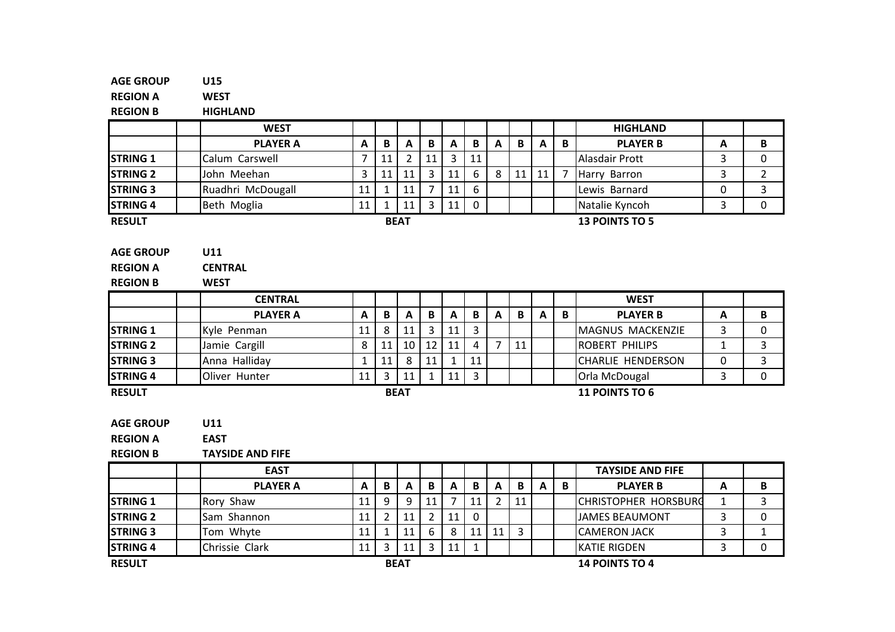|          |                | <b>HIGHLAND</b>             |                     |                |
|----------|----------------|-----------------------------|---------------------|----------------|
| B<br>A   | $\mathbf B$    | <b>PLAYER B</b>             | A                   | B              |
|          |                | Alasdair Prott              | 3                   | 0              |
| 11<br>11 | $\overline{7}$ | Harry Barron                | 3                   | $\overline{2}$ |
|          |                | Lewis Barnard               | 0                   | 3              |
|          |                | Natalie Kyncoh              | 3                   | 0              |
|          |                | <b>13 POINTS TO 5</b>       |                     |                |
|          |                |                             |                     |                |
|          |                |                             |                     |                |
|          |                |                             |                     |                |
|          |                |                             |                     |                |
|          |                |                             |                     |                |
| B<br>A   | $\mathbf{B}$   | <b>PLAYER B</b>             | A                   | B              |
|          |                | MAGNUS MACKENZIE            | 3                   | 0              |
| 11       |                | <b>ROBERT PHILIPS</b>       | $\mathbf{1}$        | 3              |
|          |                | <b>CHARLIE HENDERSON</b>    | $\mathbf 0$         |                |
|          |                |                             |                     | $\overline{3}$ |
|          |                | Orla McDougal               | 3                   | $\mathbf 0$    |
|          |                | 11 POINTS TO 6              |                     |                |
|          |                |                             |                     |                |
|          |                |                             |                     |                |
|          |                |                             |                     |                |
|          |                |                             |                     |                |
|          |                | <b>TAYSIDE AND FIFE</b>     |                     |                |
| B<br>A   | $\mathbf{B}$   | <b>PLAYER B</b>             | A                   | B              |
| 11       |                | <b>CHRISTOPHER HORSBURG</b> | 1                   | 3              |
| 3        |                | <b>JAMES BEAUMONT</b>       | $\overline{3}$<br>3 | 0              |
|          |                |                             | <b>WEST</b>         |                |

RESULT

STRING 4

Chrissie Clark 11 3 11 3 11 1 1 | KATIE RIGDEN<br>BEAT 14 POINTS TO N 3 0 14 POINTS TO 4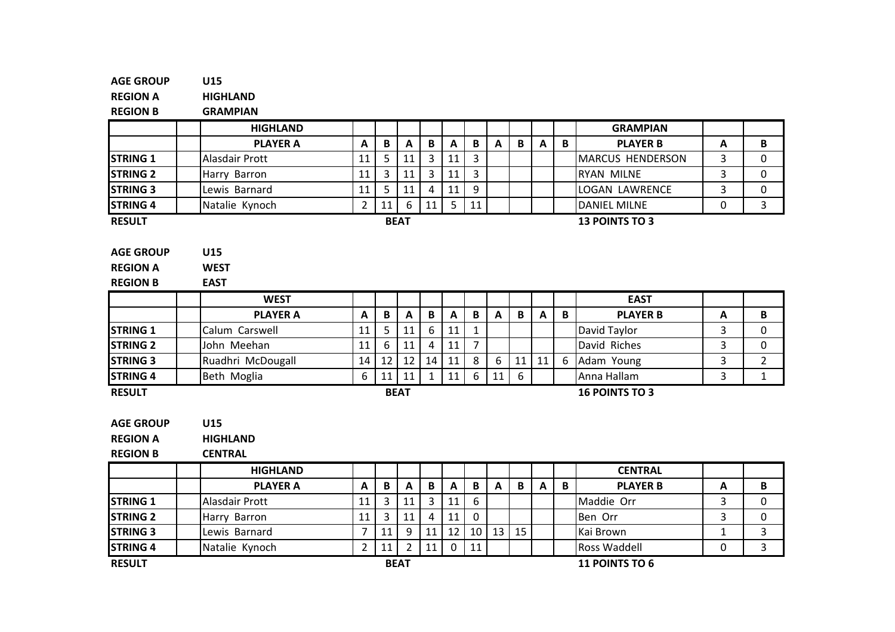#### AGE GROUP U15 REGION A HIGHLANDB GRAMPIAN REGION B HIGHLAND GRAMPIAN**PLAYER B** PLAYER AA A B A B A B A B A B A B PLAYER B A B STRING 1Alasdair Prott 11 5 11 3 11 3 11 3 MARCUS HENDERSON<br>Harry Barron 11 3 11 3 11 3 11 3 RYAN MILNE N 3 0 STRING 2 Harry Barron <sup>11</sup> <sup>3</sup> <sup>11</sup> <sup>3</sup> <sup>11</sup> <sup>3</sup> RYAN MILNE <sup>3</sup> <sup>0</sup> STRING 3 Lewis Barnard11 5 11 4 11 9 LOGAN LAWRENCE 3 0<br>2 11 6 11 5 11 DANIEL MILNE 0 3 STRING 4 Natalie Kynoch <sup>2</sup> <sup>11</sup> <sup>6</sup> <sup>11</sup> <sup>5</sup> <sup>11</sup> DANIEL MILNE <sup>0</sup> <sup>3</sup> RESULTAGE GROUP U15 REGION A**WEST** REGION B EAST WESTT | | | | | | | | | | | | EAST PLAYER AA A B A B A B A B A B A B PLAYER B A B STRING<sub>1</sub> Calum Carswell <sup>11</sup> <sup>5</sup> <sup>11</sup> <sup>6</sup> <sup>11</sup> <sup>1</sup> David Taylor <sup>3</sup> <sup>0</sup> STRING 2 John Meehan <sup>11</sup> <sup>6</sup> <sup>11</sup> <sup>4</sup> <sup>11</sup> <sup>7</sup> David Riches <sup>3</sup> <sup>0</sup> BEAT 13 POINTS TO 3 STRING 3Ruadhri McDougall 14 12 12 14 11 8 6 11 11 6 Adam Young 3 2<br>Beth Moglia 6 11 11 1 11 6 11 6 Anna Hallam 3 1 STRING<sub>4</sub> **4** | Beth Moglia | 6 | 11 | 11 | 1 | 11 | 6 | 11 | 6 | 11 | Anna Hallam <sup>3</sup> <sup>1</sup> RESULT U15 BEAT 16 POINTS TO 3

AGE GROUP

REGION A**HIGHLAND** 

B **CENTRAL** REGION B

|                 | <b>HIGHLAND</b> |    |    |             |   |    |     |    |    |   |   | <b>CENTRAL</b>        |   |   |
|-----------------|-----------------|----|----|-------------|---|----|-----|----|----|---|---|-----------------------|---|---|
|                 | <b>PLAYER A</b> | A  | В  | A           | B | A  | В   | A  | B  | A | B | <b>PLAYER B</b>       | А | В |
| <b>STRING 1</b> | Alasdair Prott  | 11 |    |             |   | 11 | 6   |    |    |   |   | Maddie Orr            |   |   |
| <b>STRING 2</b> | Harry Barron    | 11 |    |             |   | 11 | - 0 |    |    |   |   | Ben Orr               |   |   |
| <b>STRING 3</b> | Lewis Barnard   |    |    |             |   | 12 | 10  | 13 | 15 |   |   | Kai Brown             |   |   |
| <b>STRING 4</b> | Natalie Kynoch  | ▃  | 11 |             |   |    | 11  |    |    |   |   | <b>Ross Waddell</b>   |   |   |
| <b>RESULT</b>   |                 |    |    | <b>BEAT</b> |   |    |     |    |    |   |   | <b>11 POINTS TO 6</b> |   |   |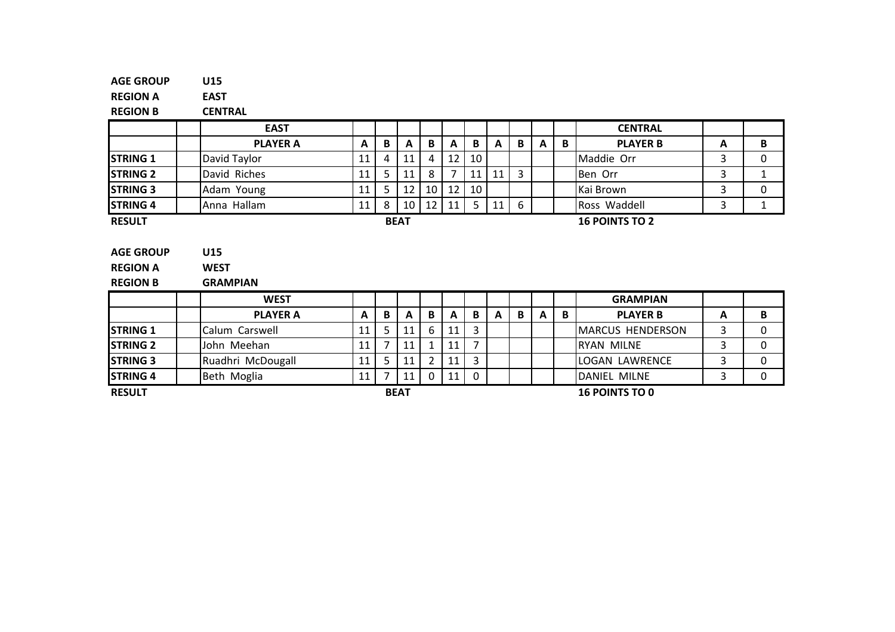| <b>AGE GROUP</b> | U15 |
|------------------|-----|
|                  |     |

REGION AEAST

REGION B

CENTRAL

|                                                        | <b>EAST</b>                           |    |   |              |                |                       |    |    |   |   |   | <b>CENTRAL</b>                         |   |              |
|--------------------------------------------------------|---------------------------------------|----|---|--------------|----------------|-----------------------|----|----|---|---|---|----------------------------------------|---|--------------|
|                                                        | <b>PLAYER A</b>                       | A  | B | A            | B              | A                     | B  | A  | B | А | B | <b>PLAYER B</b>                        | A | B            |
| <b>STRING 1</b>                                        | David Taylor                          | 11 | 4 | 11           | 4              | 12                    | 10 |    |   |   |   | Maddie Orr                             | 3 | 0            |
| <b>STRING 2</b>                                        | David Riches                          | 11 | 5 | 11           | 8              | $\overline{7}$        | 11 | 11 | 3 |   |   | Ben Orr                                | 3 | $\mathbf{1}$ |
| <b>STRING 3</b>                                        | Adam Young                            | 11 | 5 | 12           | 10             | 12                    | 10 |    |   |   |   | Kai Brown                              | 3 | 0            |
| <b>STRING 4</b>                                        | Anna Hallam                           | 11 | 8 | 10           | 12             | 11                    | 5  | 11 | 6 |   |   | Ross Waddell                           | 3 | 1            |
| <b>RESULT</b>                                          |                                       |    |   | <b>BEAT</b>  |                |                       |    |    |   |   |   | <b>16 POINTS TO 2</b>                  |   |              |
| <b>AGE GROUP</b><br><b>REGION A</b><br><b>REGION B</b> | U15<br><b>WEST</b><br><b>GRAMPIAN</b> |    |   |              |                |                       |    |    |   |   |   |                                        |   |              |
|                                                        | <b>WEST</b>                           |    |   |              |                |                       |    |    |   |   |   | <b>GRAMPIAN</b>                        |   |              |
|                                                        | <b>PLAYER A</b>                       | A  | B | $\mathbf{A}$ | B              | $\mathbf{A}$          | B  | A  | B | A | B | <b>PLAYER B</b>                        | A | B            |
| <b>STRING 1</b>                                        | Calum Carswell                        | 11 | 5 | 11           | 6              | 11                    | 3  |    |   |   |   | <b>MARCUS HENDERSON</b>                | 3 | $\Omega$     |
| <b>STRING 2</b>                                        | John Meehan                           | 11 |   | 11           | $\mathbf{1}$   | 11                    | 7  |    |   |   |   | <b>RYAN MILNE</b>                      | 3 | $\Omega$     |
| <b>STRING 3</b>                                        | Ruadhri McDougall                     | 11 | 5 | 11           | $\overline{2}$ | 11                    | 3  |    |   |   |   | 3<br><b>LOGAN LAWRENCE</b><br>$\Omega$ |   |              |
| <b>STRING 4</b>                                        | Beth Moglia                           | 11 | 7 | 11           | 0              | 11                    | 0  |    |   |   |   | <b>DANIEL MILNE</b>                    | 3 | 0            |
| <b>RESULT</b>                                          | <b>BEAT</b>                           |    |   |              |                | <b>16 POINTS TO 0</b> |    |    |   |   |   |                                        |   |              |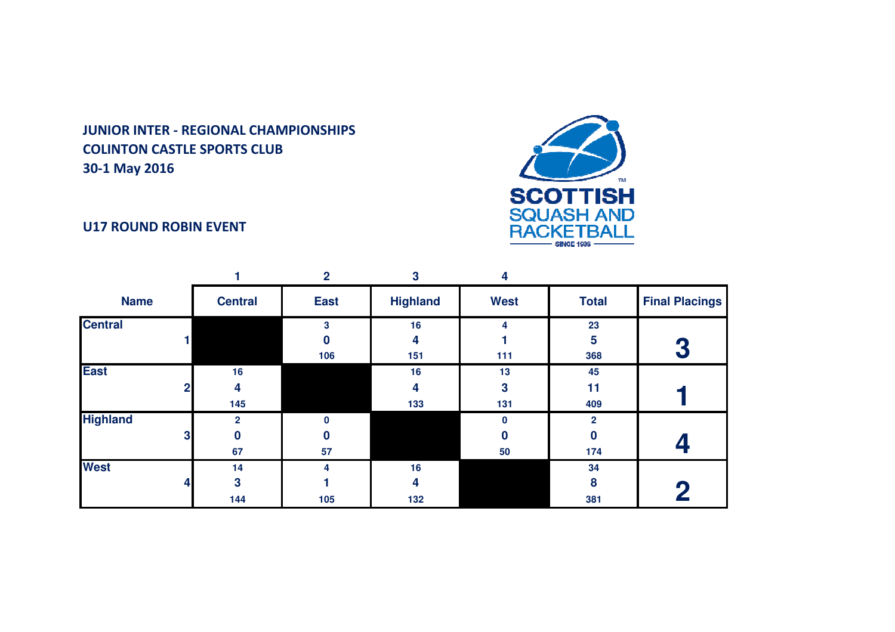

# U17 ROUND ROBIN EVENT

|                 |   |                | 2                | 3               | 4           |                |                       |
|-----------------|---|----------------|------------------|-----------------|-------------|----------------|-----------------------|
| <b>Name</b>     |   | <b>Central</b> | <b>East</b>      | <b>Highland</b> | <b>West</b> | <b>Total</b>   | <b>Final Placings</b> |
| <b>Central</b>  |   |                | 3                | 16              | 4           | 23             |                       |
|                 |   |                | $\boldsymbol{0}$ | 4               |             | 5              |                       |
|                 |   |                | 106              | 151             | 111         | 368            | 3                     |
| <b>East</b>     |   | 16             |                  | 16              | 13          | 45             |                       |
|                 | 2 | 4              |                  | 4               | 3           | 11             |                       |
|                 |   | 145            |                  | 133             | 131         | 409            |                       |
| <b>Highland</b> |   | $\mathbf{2}$   | $\bf{0}$         |                 | $\bf{0}$    | $\overline{2}$ |                       |
|                 | 3 | 0              | 0                |                 | $\bf{0}$    | $\bf{0}$       |                       |
|                 |   | 67             | 57               |                 | 50          | 174            |                       |
| <b>West</b>     |   | 14             | 4                | 16              |             | 34             |                       |
|                 | 4 | 3              |                  | 4               |             | 8              |                       |
|                 |   | 144            | 105              | 132             |             | 381            |                       |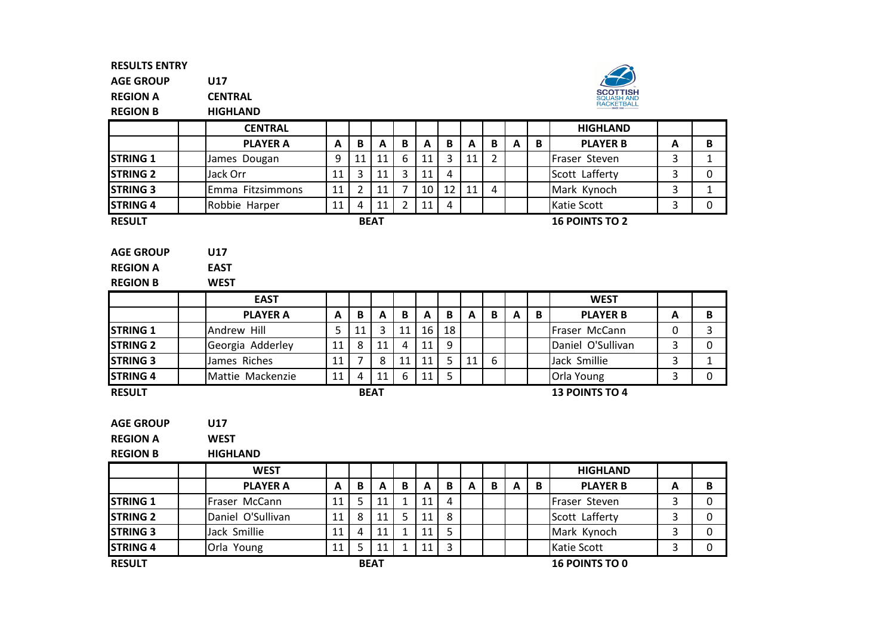STRING<sub>3</sub>

AGE GROUPU17

REGION ACENTRAL



REGION BHIGHLAND

|                  | <b>CENTRAL</b>    |              |                |                |                |                           |                |              |                |              |   | <b>HIGHLAND</b>       |                |              |
|------------------|-------------------|--------------|----------------|----------------|----------------|---------------------------|----------------|--------------|----------------|--------------|---|-----------------------|----------------|--------------|
|                  | <b>PLAYER A</b>   | A            | $\mathbf B$    | $\mathbf{A}$   | B              | $\mathbf{A}$              | B              | A            | $\mathbf B$    | A            | B | <b>PLAYER B</b>       | A              | B            |
| <b>STRING 1</b>  | James Dougan      | 9            | 11             | 11             | 6              | 11                        | 3              | 11           | $\overline{2}$ |              |   | Fraser Steven         | 3              | $\mathbf{1}$ |
| <b>STRING 2</b>  | Jack Orr          | 11           | 3              | 11             | $\overline{3}$ | 11                        | $\overline{4}$ |              |                |              |   | Scott Lafferty        | $\overline{3}$ | $\mathbf{0}$ |
| <b>STRING 3</b>  | Emma Fitzsimmons  | 11           | $\overline{2}$ | 11             | $\overline{7}$ | 10                        | 12             | 11           | 4              |              |   | Mark Kynoch           | 3              | $\mathbf{1}$ |
| <b>STRING 4</b>  | Robbie Harper     | 11           | 4              | 11             | $\overline{2}$ | 11                        | $\overline{4}$ |              |                |              |   | Katie Scott           | 3              | $\mathbf 0$  |
| <b>RESULT</b>    |                   |              |                | <b>BEAT</b>    |                |                           |                |              |                |              |   | <b>16 POINTS TO 2</b> |                |              |
| <b>AGE GROUP</b> | <b>U17</b>        |              |                |                |                |                           |                |              |                |              |   |                       |                |              |
| <b>REGION A</b>  | <b>EAST</b>       |              |                |                |                |                           |                |              |                |              |   |                       |                |              |
| <b>REGION B</b>  | <b>WEST</b>       |              |                |                |                |                           |                |              |                |              |   |                       |                |              |
|                  | <b>EAST</b>       |              |                |                |                |                           |                |              |                |              |   | <b>WEST</b>           |                |              |
|                  | <b>PLAYER A</b>   | A            | B              | $\mathbf{A}$   | B              | A                         | $\mathbf B$    | $\mathbf{A}$ | $\mathbf{B}$   | $\mathbf{A}$ | B | <b>PLAYER B</b>       | A              | B            |
| <b>STRING 1</b>  | Andrew Hill       | 5            | 11             | $\overline{3}$ | 11             | 16                        | 18             |              |                |              |   | Fraser McCann         | 0              | 3            |
| <b>STRING 2</b>  | Georgia Adderley  | 11           | 8              | 11             | 4              | 11                        | 9              |              |                |              |   | Daniel O'Sullivan     | 3              | 0            |
| <b>STRING 3</b>  | James Riches      | 11           | 7              | 8              | 11             | 11                        | 5              | 11           | 6              |              |   | Jack Smillie          | 3              | $\mathbf{1}$ |
| <b>STRING 4</b>  | Mattie Mackenzie  | 11           | 4              | 11             | 6              | 11                        | 5              |              |                |              |   | Orla Young            | 3              | 0            |
| <b>RESULT</b>    |                   |              |                | <b>BEAT</b>    |                |                           |                |              |                |              |   | <b>13 POINTS TO 4</b> |                |              |
| <b>AGE GROUP</b> | <b>U17</b>        |              |                |                |                |                           |                |              |                |              |   |                       |                |              |
| <b>REGION A</b>  | <b>WEST</b>       |              |                |                |                |                           |                |              |                |              |   |                       |                |              |
| <b>REGION B</b>  | <b>HIGHLAND</b>   |              |                |                |                |                           |                |              |                |              |   |                       |                |              |
|                  | <b>WEST</b>       |              |                |                |                |                           |                |              |                |              |   | <b>HIGHLAND</b>       |                |              |
|                  | <b>PLAYER A</b>   | $\mathbf{A}$ | $\, {\bf B}$   | $\mathbf{A}$   | B              | $\boldsymbol{\mathsf{A}}$ | $\, {\bf B}$   | A            | $\mathbf B$    | $\mathbf{A}$ | B | <b>PLAYER B</b>       | A              | B            |
| <b>STRING 1</b>  | Fraser McCann     | 11           | 5              | 11             | $\mathbf{1}$   | 11                        | 4              |              |                |              |   | Fraser Steven         | 3              | 0            |
| <b>STRING 2</b>  | Daniel O'Sullivan | 11           | 8              | 11             | 5.             | 11                        | 8              |              |                |              |   | Scott Lafferty        | 3              | $\mathbf{0}$ |
|                  |                   |              |                |                |                |                           |                |              |                |              |   |                       |                |              |

| <b>RESULT</b>   |                      |    |     | <b>BEAT</b>            |          |                               |  |  | <b>16 POINTS TO 0</b> |  |
|-----------------|----------------------|----|-----|------------------------|----------|-------------------------------|--|--|-----------------------|--|
| <b>STRING 4</b> | <b>Orla</b><br>Young | 11 | دست | $\overline{A}$<br>--   | . .      | $\overline{\phantom{0}}$<br>س |  |  | Katie Scott           |  |
| <b>STRING 3</b> | lJack<br>Smillie     | 11 | 4   | $\overline{A}$<br>-- - | <u>_</u> | س                             |  |  | Mark<br>Kynoch        |  |

Jack Smillie <sup>11</sup> <sup>4</sup> <sup>11</sup> <sup>1</sup> <sup>11</sup> <sup>5</sup> Mark Kynoch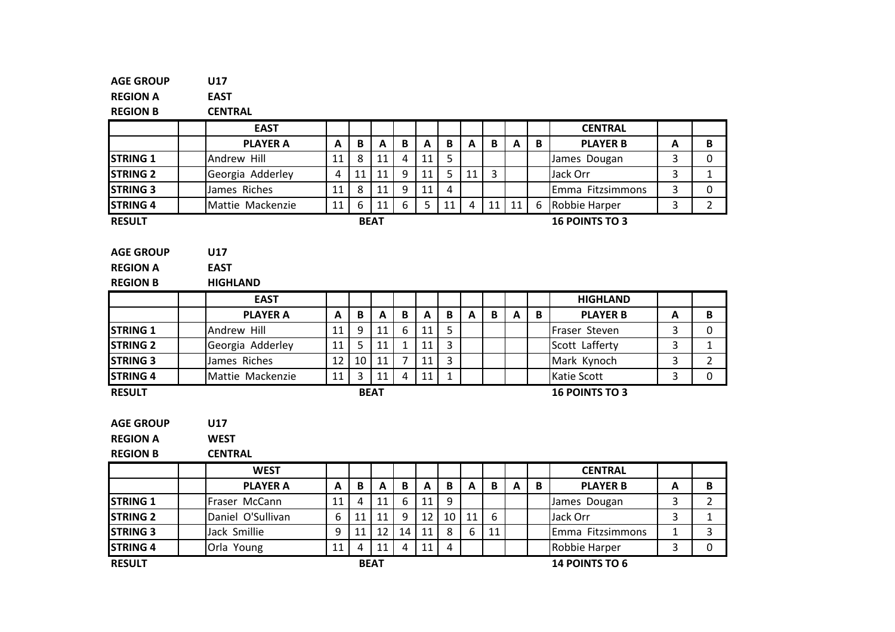| <b>AGE GROUP</b> | U17               |              |                |              |                |              |              |                |                |              |              |                       |                |                |
|------------------|-------------------|--------------|----------------|--------------|----------------|--------------|--------------|----------------|----------------|--------------|--------------|-----------------------|----------------|----------------|
| <b>REGION A</b>  | <b>EAST</b>       |              |                |              |                |              |              |                |                |              |              |                       |                |                |
| <b>REGION B</b>  | <b>CENTRAL</b>    |              |                |              |                |              |              |                |                |              |              |                       |                |                |
|                  | <b>EAST</b>       |              |                |              |                |              |              |                |                |              |              | <b>CENTRAL</b>        |                |                |
|                  | <b>PLAYER A</b>   | $\mathbf{A}$ | $\mathbf{B}$   | $\mathbf{A}$ | $\mathbf{B}$   | $\mathbf{A}$ | $\mathbf{B}$ | $\mathbf{A}$   | $\mathbf{B}$   | $\mathbf{A}$ | $\mathbf{B}$ | <b>PLAYER B</b>       | A              | B              |
| <b>STRING 1</b>  | Andrew Hill       | 11           | 8              | 11           | 4              | 11           | 5            |                |                |              |              | James Dougan          | 3              | $\mathbf 0$    |
| <b>STRING 2</b>  | Georgia Adderley  | 4            | 11             | 11           | 9              | 11           | 5            | 11             | $\overline{3}$ |              |              | Jack Orr              | 3              | $\mathbf{1}$   |
| <b>STRING 3</b>  | James Riches      | 11           | 8              | 11           | 9              | 11           | 4            |                |                |              |              | Emma Fitzsimmons      | 3              | 0              |
| <b>STRING 4</b>  | Mattie Mackenzie  | 11           | 6              | 11           | 6              | 5            | 11           | $\overline{4}$ | 11             | 11           | 6            | Robbie Harper         | $\overline{3}$ | $\overline{2}$ |
| <b>RESULT</b>    |                   |              |                | <b>BEAT</b>  |                |              |              |                |                |              |              | <b>16 POINTS TO 3</b> |                |                |
|                  |                   |              |                |              |                |              |              |                |                |              |              |                       |                |                |
| <b>AGE GROUP</b> | U17               |              |                |              |                |              |              |                |                |              |              |                       |                |                |
| <b>REGION A</b>  | <b>EAST</b>       |              |                |              |                |              |              |                |                |              |              |                       |                |                |
| <b>REGION B</b>  | <b>HIGHLAND</b>   |              |                |              |                |              |              |                |                |              |              |                       |                |                |
|                  | <b>EAST</b>       |              |                |              |                |              |              |                |                |              |              | <b>HIGHLAND</b>       |                |                |
|                  | <b>PLAYER A</b>   | $\mathbf{A}$ | B              | $\mathbf{A}$ | B              | $\mathbf{A}$ | $\, {\bf B}$ | $\mathbf{A}$   | B              | $\mathbf{A}$ | B            | <b>PLAYER B</b>       | A              | B              |
| <b>STRING 1</b>  | Andrew Hill       | 11           | 9              | 11           | 6              | 11           | 5            |                |                |              |              | Fraser Steven         | $\overline{3}$ | 0              |
| <b>STRING 2</b>  | Georgia Adderley  | 11           | 5              | 11           | $\mathbf{1}$   | 11           | 3            |                |                |              |              | Scott Lafferty        | 3              | $\mathbf 1$    |
| <b>STRING 3</b>  | James Riches      | 12           | 10             | 11           | $\overline{7}$ | 11           | 3            |                |                |              |              | Mark Kynoch           | 3              | $\overline{2}$ |
| <b>STRING 4</b>  | Mattie Mackenzie  | 11           | $\overline{3}$ | 11           | $\overline{4}$ | 11           | $\mathbf{1}$ |                |                |              |              | <b>Katie Scott</b>    | $\overline{3}$ | $\mathbf{0}$   |
| <b>RESULT</b>    |                   |              |                | <b>BEAT</b>  |                |              |              |                |                |              |              | <b>16 POINTS TO 3</b> |                |                |
|                  |                   |              |                |              |                |              |              |                |                |              |              |                       |                |                |
| <b>AGE GROUP</b> | U17               |              |                |              |                |              |              |                |                |              |              |                       |                |                |
| <b>REGION A</b>  | <b>WEST</b>       |              |                |              |                |              |              |                |                |              |              |                       |                |                |
| <b>REGION B</b>  | <b>CENTRAL</b>    |              |                |              |                |              |              |                |                |              |              |                       |                |                |
|                  | <b>WEST</b>       |              |                |              |                |              |              |                |                |              |              | <b>CENTRAL</b>        |                |                |
|                  | <b>PLAYER A</b>   | A            | B              | $\mathbf{A}$ | B              | $\mathbf{A}$ | B            | $\mathbf{A}$   | B              | A            | B            | <b>PLAYER B</b>       | A              | B              |
| <b>STRING 1</b>  | Fraser McCann     | 11           | $\overline{4}$ | 11           | 6              | 11           | 9            |                |                |              |              | James Dougan          | $\overline{3}$ | $\overline{2}$ |
| <b>STRING 2</b>  | Daniel O'Sullivan | 6            | 11             | 11           | 9              | 12           | 10           | 11             | 6              |              |              | Jack Orr              | 3              | $\mathbf{1}$   |
| <b>STRING 3</b>  | Jack Smillie      | 9            | 11             | 12           | 14             | 11           | 8            | 6              | 11             |              |              | Emma Fitzsimmons      | 1              | 3              |
| <b>STRING 4</b>  | Orla Young        | 11           | $\overline{4}$ | 11           | 4              | 11           | 4            |                |                |              |              | Robbie Harper         | $\overline{3}$ | $\mathbf 0$    |
| <b>RESULT</b>    |                   |              |                | <b>BEAT</b>  |                |              |              |                |                |              |              | <b>14 POINTS TO 6</b> |                |                |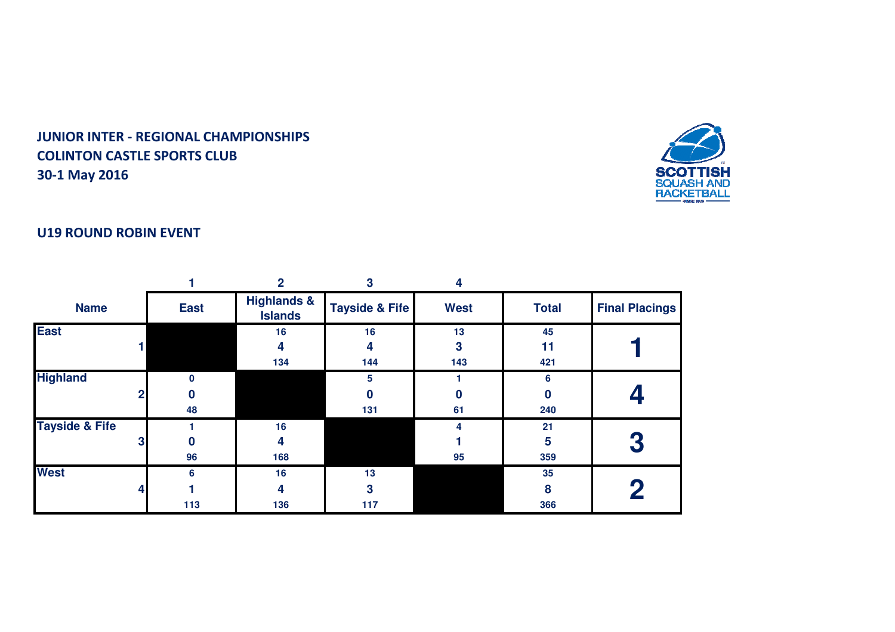

## U19 ROUND ROBIN EVENT

|                           |   |             | 2                                        | 3                         | Δ           |              |                       |
|---------------------------|---|-------------|------------------------------------------|---------------------------|-------------|--------------|-----------------------|
| <b>Name</b>               |   | <b>East</b> | <b>Highlands &amp;</b><br><b>Islands</b> | <b>Tayside &amp; Fife</b> | <b>West</b> | <b>Total</b> | <b>Final Placings</b> |
| <b>East</b>               |   |             | 16                                       | 16                        | 13          | 45           |                       |
|                           |   |             | 4                                        | 4                         | 3           | 11           |                       |
|                           |   |             | 134                                      | 144                       | 143         | 421          |                       |
| <b>Highland</b>           |   |             |                                          | 5                         |             | 6            |                       |
|                           | 2 |             |                                          | $\bf{0}$                  |             |              |                       |
|                           |   | 48          |                                          | 131                       | 61          | 240          |                       |
| <b>Tayside &amp; Fife</b> |   |             | 16                                       |                           | 4           | 21           |                       |
|                           | 3 | 0           | 4                                        |                           |             | 5            | 3                     |
|                           |   | 96          | 168                                      |                           | 95          | 359          |                       |
| <b>West</b>               |   | 6           | 16                                       | 13                        |             | 35           |                       |
|                           |   |             | 4                                        | 3                         |             | 8            | 2                     |
|                           |   | 113         | 136                                      | 117                       |             | 366          |                       |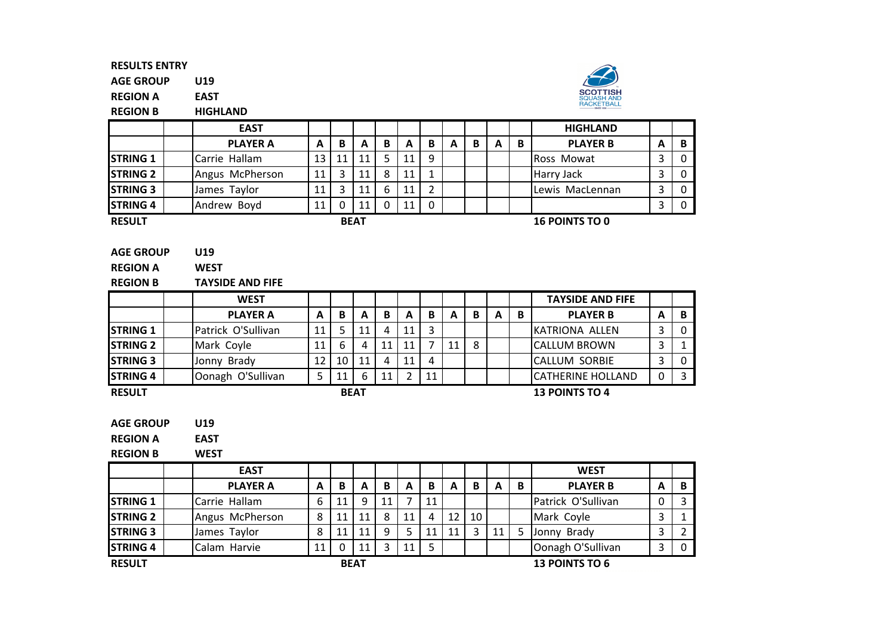AGE GROUPU19

REGION AEAST

REGION BHIGHLAND



|                 | <b>EAST</b>     |    |    |             |   |    |   |   |   |   |   | <b>HIGHLAND</b>       |   |          |
|-----------------|-----------------|----|----|-------------|---|----|---|---|---|---|---|-----------------------|---|----------|
|                 | <b>PLAYER A</b> | A  | B  | А           | B | A  | B | A | В | A | B | <b>PLAYER B</b>       | A | B        |
| <b>STRING 1</b> | Carrie Hallam   | 13 | 11 | 11          |   | 11 | 9 |   |   |   |   | <b>Ross Mowat</b>     |   | $\Omega$ |
| <b>STRING 2</b> | Angus McPherson | 11 | 3  | 11          | 8 | 11 |   |   |   |   |   | Harry Jack            |   | 0        |
| <b>STRING 3</b> | James Taylor    | 11 | 3  | 11          | 6 | 11 |   |   |   |   |   | Lewis MacLennan       |   | $\Omega$ |
| <b>STRING 4</b> | Andrew Boyd     |    | 0  | 11          |   | 11 | 0 |   |   |   |   |                       |   | $\Omega$ |
| <b>RESULT</b>   |                 |    |    | <b>BEAT</b> |   |    |   |   |   |   |   | <b>16 POINTS TO 0</b> |   |          |

REGION AWEST

REGION BTAYSIDE AND FIFE

|                  | <b>WEST</b>        |    |    |    |    |    |    |    |   |   |   | <b>TAYSIDE AND FIFE</b>   |   |   |
|------------------|--------------------|----|----|----|----|----|----|----|---|---|---|---------------------------|---|---|
|                  | <b>PLAYER A</b>    | А  | B  | A  | В  | A  | в  | A  | В | A | B | <b>PLAYER B</b>           | А | в |
| <b>ISTRING 1</b> | Patrick O'Sullivan | 11 |    | 11 | 4  | 11 | ∍  |    |   |   |   | KATRIONA ALLEN            | 3 |   |
| <b>STRING 2</b>  | Mark Coyle         | 11 | 6  |    | 11 | 11 |    | 11 | 8 |   |   | <b>ICALLUM BROWN</b>      | 3 |   |
| <b>ISTRING 3</b> | Jonny Brady        | 12 | 10 | 11 | 4  | 11 |    |    |   |   |   | <b>CALLUM SORBIE</b>      | 3 |   |
| <b>STRING 4</b>  | Oonagh O'Sullivan  |    |    | h  | 11 |    | 11 |    |   |   |   | <b>ICATHERINE HOLLAND</b> | 0 |   |
| <b>RESULT</b>    | <b>BEAT</b>        |    |    |    |    |    |    |    |   |   |   | <b>13 POINTS TO 4</b>     |   |   |

RESULT

AGE GROUPU19

REGION AEAST

WEST

REGION B

|                 | <b>EAST</b>     |    |          |             |    |    |    |    |    |    |   | <b>WEST</b>           |   |   |
|-----------------|-----------------|----|----------|-------------|----|----|----|----|----|----|---|-----------------------|---|---|
|                 | <b>PLAYER A</b> | А  | В        | A           | В  | А  | В  | A  | B  | A  | B | <b>PLAYER B</b>       | A | B |
| <b>STRING 1</b> | Carrie Hallam   | 6  | 11       | Q           | 11 |    | 11 |    |    |    |   | Patrick O'Sullivan    |   | 3 |
| <b>STRING 2</b> | Angus McPherson | 8  | 11       | 11          | 8  | 11 |    | 12 | 10 |    |   | Mark Coyle            |   |   |
| <b>STRING 3</b> | James Taylor    | 8  | 11       | 11          | 9  | 5  | 11 | 11 |    | 11 |   | Jonny Brady           |   |   |
| <b>STRING 4</b> | Calam Harvie    | 11 | $\Omega$ | 11          |    | 11 |    |    |    |    |   | Oonagh O'Sullivan     |   | 0 |
| <b>RESULT</b>   |                 |    |          | <b>BEAT</b> |    |    |    |    |    |    |   | <b>13 POINTS TO 6</b> |   |   |